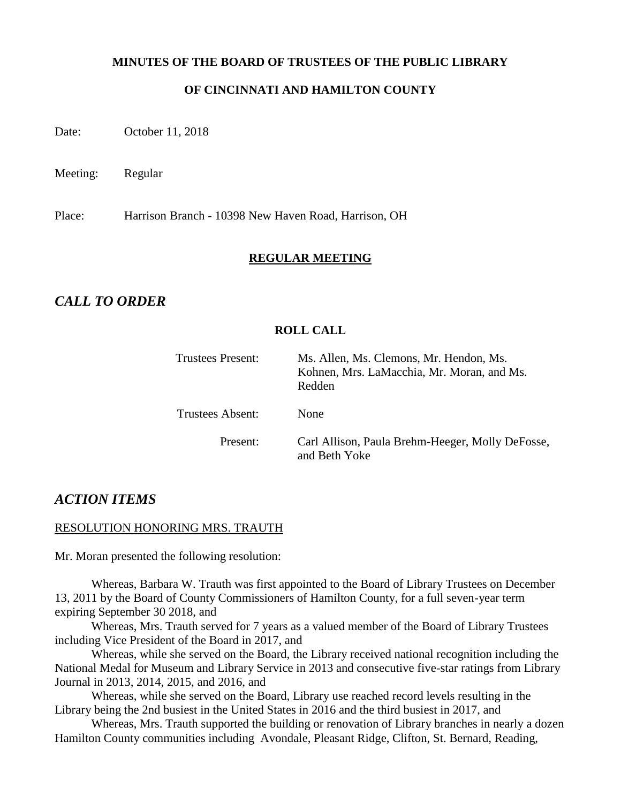#### **MINUTES OF THE BOARD OF TRUSTEES OF THE PUBLIC LIBRARY**

## **OF CINCINNATI AND HAMILTON COUNTY**

Date: October 11, 2018

Meeting: Regular

Place: Harrison Branch - 10398 New Haven Road, Harrison, OH

#### **REGULAR MEETING**

## *CALL TO ORDER*

#### **ROLL CALL**

| Trustees Present:       | Ms. Allen, Ms. Clemons, Mr. Hendon, Ms.<br>Kohnen, Mrs. LaMacchia, Mr. Moran, and Ms.<br>Redden |
|-------------------------|-------------------------------------------------------------------------------------------------|
| <b>Trustees Absent:</b> | None                                                                                            |
| Present:                | Carl Allison, Paula Brehm-Heeger, Molly DeFosse,<br>and Beth Yoke                               |

## *ACTION ITEMS*

#### RESOLUTION HONORING MRS. TRAUTH

Mr. Moran presented the following resolution:

Whereas, Barbara W. Trauth was first appointed to the Board of Library Trustees on December 13, 2011 by the Board of County Commissioners of Hamilton County, for a full seven-year term expiring September 30 2018, and

Whereas, Mrs. Trauth served for 7 years as a valued member of the Board of Library Trustees including Vice President of the Board in 2017, and

Whereas, while she served on the Board, the Library received national recognition including the National Medal for Museum and Library Service in 2013 and consecutive five-star ratings from Library Journal in 2013, 2014, 2015, and 2016, and

Whereas, while she served on the Board, Library use reached record levels resulting in the Library being the 2nd busiest in the United States in 2016 and the third busiest in 2017, and

Whereas, Mrs. Trauth supported the building or renovation of Library branches in nearly a dozen Hamilton County communities including Avondale, Pleasant Ridge, Clifton, St. Bernard, Reading,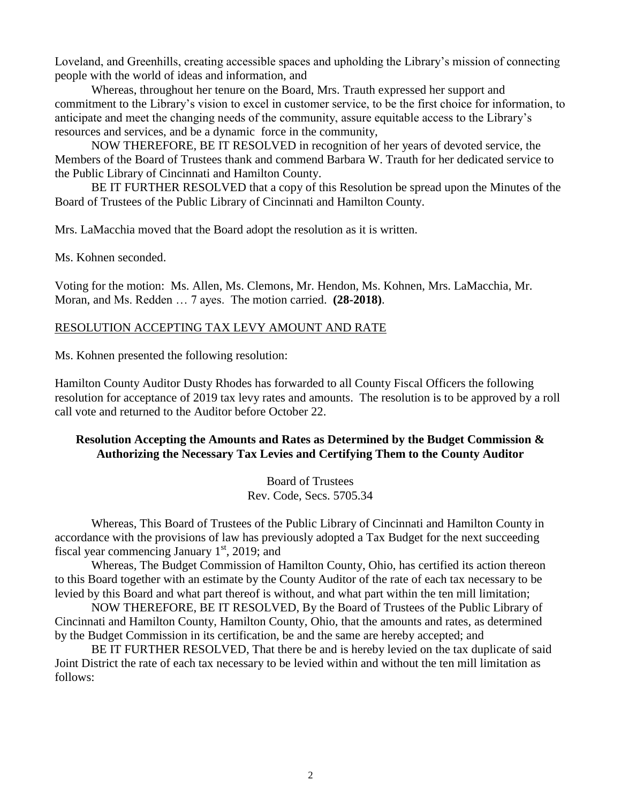Loveland, and Greenhills, creating accessible spaces and upholding the Library's mission of connecting people with the world of ideas and information, and

Whereas, throughout her tenure on the Board, Mrs. Trauth expressed her support and commitment to the Library's vision to excel in customer service, to be the first choice for information, to anticipate and meet the changing needs of the community, assure equitable access to the Library's resources and services, and be a dynamic force in the community,

NOW THEREFORE, BE IT RESOLVED in recognition of her years of devoted service, the Members of the Board of Trustees thank and commend Barbara W. Trauth for her dedicated service to the Public Library of Cincinnati and Hamilton County.

BE IT FURTHER RESOLVED that a copy of this Resolution be spread upon the Minutes of the Board of Trustees of the Public Library of Cincinnati and Hamilton County.

Mrs. LaMacchia moved that the Board adopt the resolution as it is written.

Ms. Kohnen seconded.

Voting for the motion: Ms. Allen, Ms. Clemons, Mr. Hendon, Ms. Kohnen, Mrs. LaMacchia, Mr. Moran, and Ms. Redden … 7 ayes. The motion carried. **(28-2018)**.

## RESOLUTION ACCEPTING TAX LEVY AMOUNT AND RATE

Ms. Kohnen presented the following resolution:

Hamilton County Auditor Dusty Rhodes has forwarded to all County Fiscal Officers the following resolution for acceptance of 2019 tax levy rates and amounts. The resolution is to be approved by a roll call vote and returned to the Auditor before October 22.

## **Resolution Accepting the Amounts and Rates as Determined by the Budget Commission & Authorizing the Necessary Tax Levies and Certifying Them to the County Auditor**

Board of Trustees Rev. Code, Secs. 5705.34

Whereas, This Board of Trustees of the Public Library of Cincinnati and Hamilton County in accordance with the provisions of law has previously adopted a Tax Budget for the next succeeding fiscal year commencing January  $1<sup>st</sup>$ , 2019; and

Whereas, The Budget Commission of Hamilton County, Ohio, has certified its action thereon to this Board together with an estimate by the County Auditor of the rate of each tax necessary to be levied by this Board and what part thereof is without, and what part within the ten mill limitation;

NOW THEREFORE, BE IT RESOLVED, By the Board of Trustees of the Public Library of Cincinnati and Hamilton County, Hamilton County, Ohio, that the amounts and rates, as determined by the Budget Commission in its certification, be and the same are hereby accepted; and

BE IT FURTHER RESOLVED, That there be and is hereby levied on the tax duplicate of said Joint District the rate of each tax necessary to be levied within and without the ten mill limitation as follows: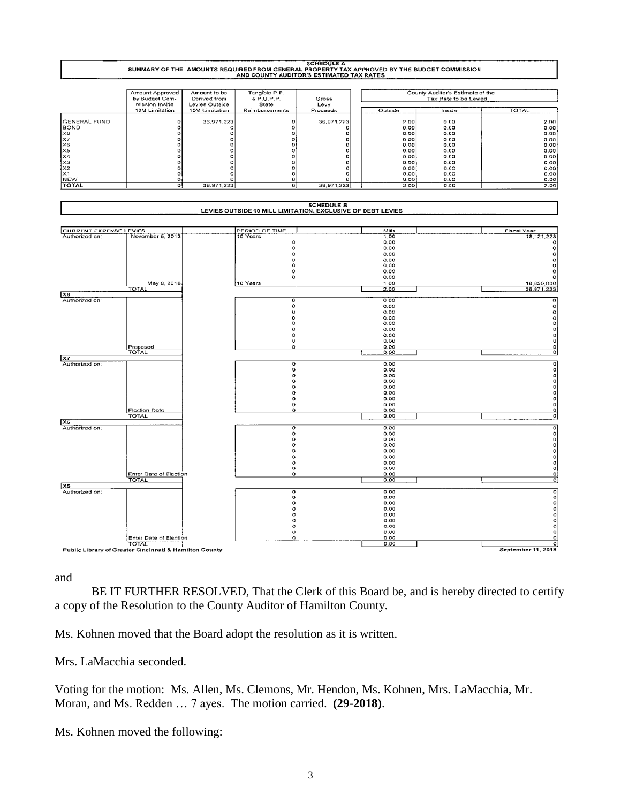

and

BE IT FURTHER RESOLVED, That the Clerk of this Board be, and is hereby directed to certify a copy of the Resolution to the County Auditor of Hamilton County.

Ms. Kohnen moved that the Board adopt the resolution as it is written.

Mrs. LaMacchia seconded.

Voting for the motion: Ms. Allen, Ms. Clemons, Mr. Hendon, Ms. Kohnen, Mrs. LaMacchia, Mr. Moran, and Ms. Redden … 7 ayes. The motion carried. **(29-2018)**.

Ms. Kohnen moved the following: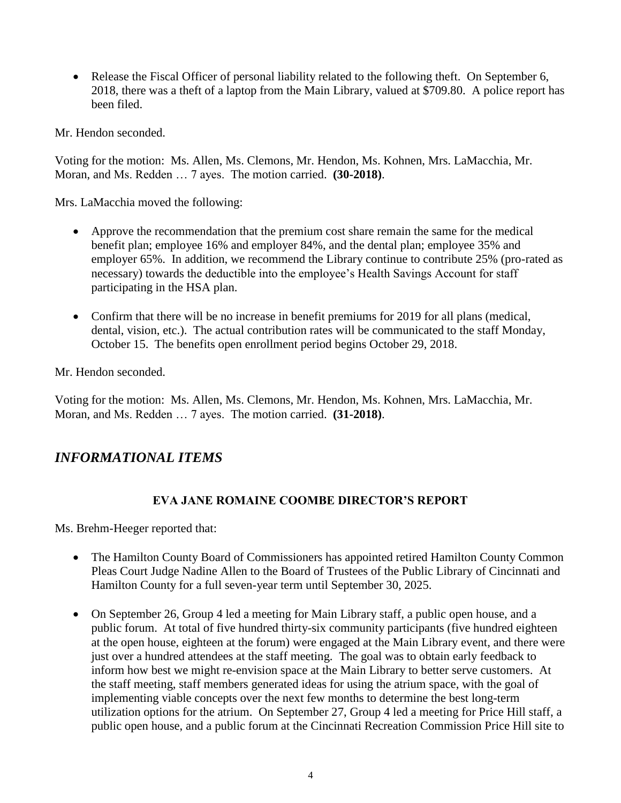• Release the Fiscal Officer of personal liability related to the following theft. On September 6, 2018, there was a theft of a laptop from the Main Library, valued at \$709.80. A police report has been filed.

Mr. Hendon seconded.

Voting for the motion: Ms. Allen, Ms. Clemons, Mr. Hendon, Ms. Kohnen, Mrs. LaMacchia, Mr. Moran, and Ms. Redden … 7 ayes. The motion carried. **(30-2018)**.

Mrs. LaMacchia moved the following:

- Approve the recommendation that the premium cost share remain the same for the medical benefit plan; employee 16% and employer 84%, and the dental plan; employee 35% and employer 65%. In addition, we recommend the Library continue to contribute 25% (pro-rated as necessary) towards the deductible into the employee's Health Savings Account for staff participating in the HSA plan.
- Confirm that there will be no increase in benefit premiums for 2019 for all plans (medical, dental, vision, etc.). The actual contribution rates will be communicated to the staff Monday, October 15. The benefits open enrollment period begins October 29, 2018.

Mr. Hendon seconded.

Voting for the motion: Ms. Allen, Ms. Clemons, Mr. Hendon, Ms. Kohnen, Mrs. LaMacchia, Mr. Moran, and Ms. Redden … 7 ayes. The motion carried. **(31-2018)**.

# *INFORMATIONAL ITEMS*

## **EVA JANE ROMAINE COOMBE DIRECTOR'S REPORT**

Ms. Brehm-Heeger reported that:

- The Hamilton County Board of Commissioners has appointed retired Hamilton County Common Pleas Court Judge Nadine Allen to the Board of Trustees of the Public Library of Cincinnati and Hamilton County for a full seven-year term until September 30, 2025.
- On September 26, Group 4 led a meeting for Main Library staff, a public open house, and a public forum. At total of five hundred thirty-six community participants (five hundred eighteen at the open house, eighteen at the forum) were engaged at the Main Library event, and there were just over a hundred attendees at the staff meeting. The goal was to obtain early feedback to inform how best we might re-envision space at the Main Library to better serve customers. At the staff meeting, staff members generated ideas for using the atrium space, with the goal of implementing viable concepts over the next few months to determine the best long-term utilization options for the atrium. On September 27, Group 4 led a meeting for Price Hill staff, a public open house, and a public forum at the Cincinnati Recreation Commission Price Hill site to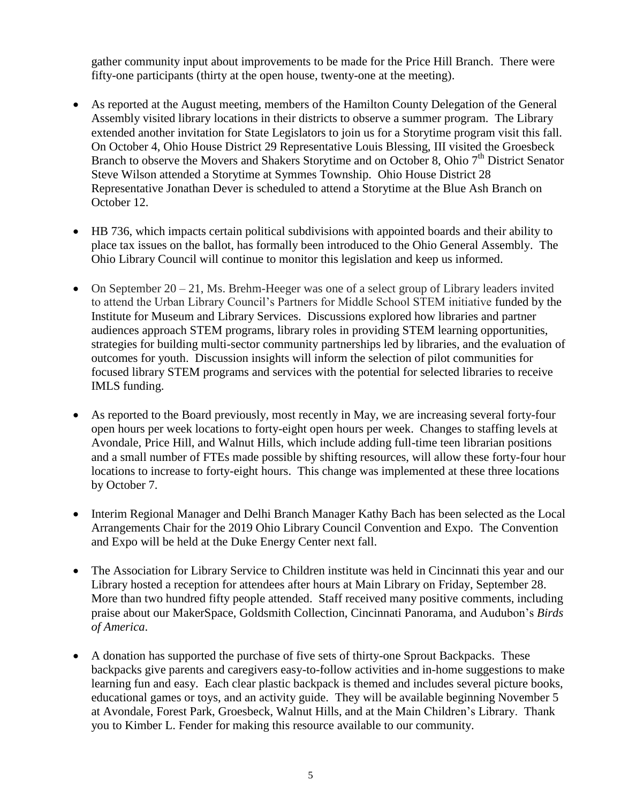gather community input about improvements to be made for the Price Hill Branch. There were fifty-one participants (thirty at the open house, twenty-one at the meeting).

- As reported at the August meeting, members of the Hamilton County Delegation of the General Assembly visited library locations in their districts to observe a summer program. The Library extended another invitation for State Legislators to join us for a Storytime program visit this fall. On October 4, Ohio House District 29 Representative Louis Blessing, III visited the Groesbeck Branch to observe the Movers and Shakers Storytime and on October 8, Ohio  $7<sup>th</sup>$  District Senator Steve Wilson attended a Storytime at Symmes Township. Ohio House District 28 Representative Jonathan Dever is scheduled to attend a Storytime at the Blue Ash Branch on October 12.
- HB 736, which impacts certain political subdivisions with appointed boards and their ability to place tax issues on the ballot, has formally been introduced to the Ohio General Assembly. The Ohio Library Council will continue to monitor this legislation and keep us informed.
- On September  $20 21$ , Ms. Brehm-Heeger was one of a select group of Library leaders invited to attend the Urban Library Council's Partners for Middle School STEM initiative funded by the Institute for Museum and Library Services. Discussions explored how libraries and partner audiences approach STEM programs, library roles in providing STEM learning opportunities, strategies for building multi-sector community partnerships led by libraries, and the evaluation of outcomes for youth. Discussion insights will inform the selection of pilot communities for focused library STEM programs and services with the potential for selected libraries to receive IMLS funding.
- As reported to the Board previously, most recently in May, we are increasing several forty-four open hours per week locations to forty-eight open hours per week. Changes to staffing levels at Avondale, Price Hill, and Walnut Hills, which include adding full-time teen librarian positions and a small number of FTEs made possible by shifting resources, will allow these forty-four hour locations to increase to forty-eight hours. This change was implemented at these three locations by October 7.
- Interim Regional Manager and Delhi Branch Manager Kathy Bach has been selected as the Local Arrangements Chair for the 2019 Ohio Library Council Convention and Expo. The Convention and Expo will be held at the Duke Energy Center next fall.
- The Association for Library Service to Children institute was held in Cincinnati this year and our Library hosted a reception for attendees after hours at Main Library on Friday, September 28. More than two hundred fifty people attended. Staff received many positive comments, including praise about our MakerSpace, Goldsmith Collection, Cincinnati Panorama, and Audubon's *Birds of America*.
- A donation has supported the purchase of five sets of thirty-one Sprout Backpacks. These backpacks give parents and caregivers easy-to-follow activities and in-home suggestions to make learning fun and easy. Each clear plastic backpack is themed and includes several picture books, educational games or toys, and an activity guide. They will be available beginning November 5 at Avondale, Forest Park, Groesbeck, Walnut Hills, and at the Main Children's Library. Thank you to Kimber L. Fender for making this resource available to our community.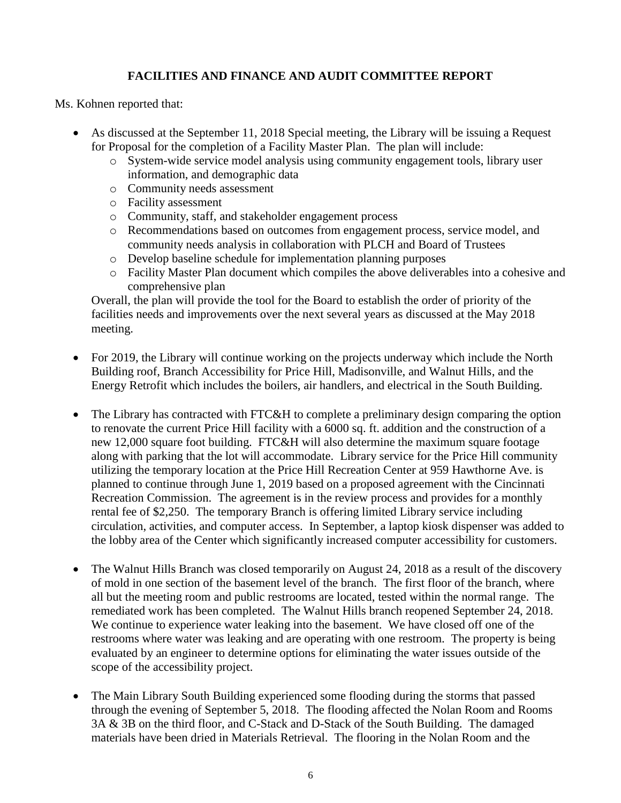## **FACILITIES AND FINANCE AND AUDIT COMMITTEE REPORT**

Ms. Kohnen reported that:

- As discussed at the September 11, 2018 Special meeting, the Library will be issuing a Request for Proposal for the completion of a Facility Master Plan. The plan will include:
	- o System-wide service model analysis using community engagement tools, library user information, and demographic data
	- o Community needs assessment
	- o Facility assessment
	- o Community, staff, and stakeholder engagement process
	- o Recommendations based on outcomes from engagement process, service model, and community needs analysis in collaboration with PLCH and Board of Trustees
	- o Develop baseline schedule for implementation planning purposes
	- o Facility Master Plan document which compiles the above deliverables into a cohesive and comprehensive plan

Overall, the plan will provide the tool for the Board to establish the order of priority of the facilities needs and improvements over the next several years as discussed at the May 2018 meeting.

- For 2019, the Library will continue working on the projects underway which include the North Building roof, Branch Accessibility for Price Hill, Madisonville, and Walnut Hills, and the Energy Retrofit which includes the boilers, air handlers, and electrical in the South Building.
- The Library has contracted with FTC&H to complete a preliminary design comparing the option to renovate the current Price Hill facility with a 6000 sq. ft. addition and the construction of a new 12,000 square foot building. FTC&H will also determine the maximum square footage along with parking that the lot will accommodate. Library service for the Price Hill community utilizing the temporary location at the Price Hill Recreation Center at 959 Hawthorne Ave. is planned to continue through June 1, 2019 based on a proposed agreement with the Cincinnati Recreation Commission. The agreement is in the review process and provides for a monthly rental fee of \$2,250. The temporary Branch is offering limited Library service including circulation, activities, and computer access. In September, a laptop kiosk dispenser was added to the lobby area of the Center which significantly increased computer accessibility for customers.
- The Walnut Hills Branch was closed temporarily on August 24, 2018 as a result of the discovery of mold in one section of the basement level of the branch. The first floor of the branch, where all but the meeting room and public restrooms are located, tested within the normal range. The remediated work has been completed. The Walnut Hills branch reopened September 24, 2018. We continue to experience water leaking into the basement. We have closed off one of the restrooms where water was leaking and are operating with one restroom. The property is being evaluated by an engineer to determine options for eliminating the water issues outside of the scope of the accessibility project.
- The Main Library South Building experienced some flooding during the storms that passed through the evening of September 5, 2018. The flooding affected the Nolan Room and Rooms 3A & 3B on the third floor, and C-Stack and D-Stack of the South Building. The damaged materials have been dried in Materials Retrieval. The flooring in the Nolan Room and the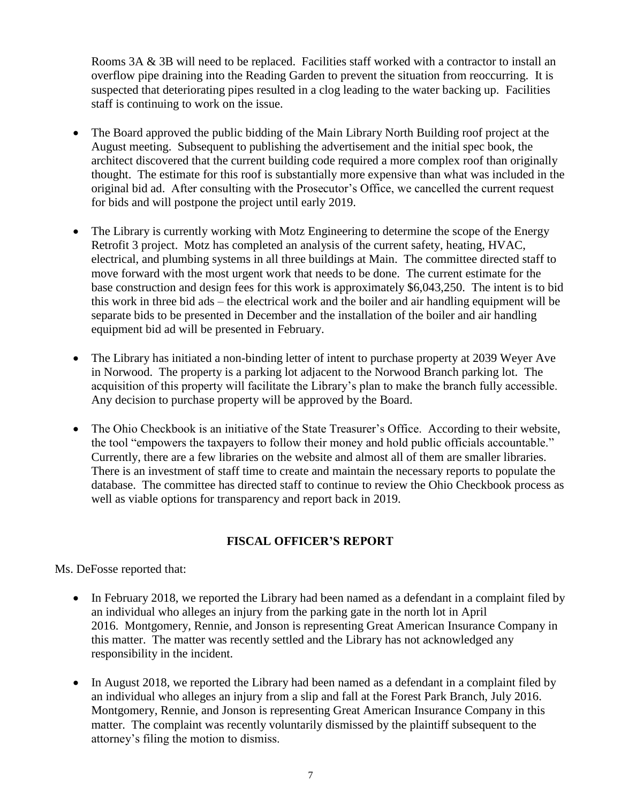Rooms 3A & 3B will need to be replaced. Facilities staff worked with a contractor to install an overflow pipe draining into the Reading Garden to prevent the situation from reoccurring. It is suspected that deteriorating pipes resulted in a clog leading to the water backing up. Facilities staff is continuing to work on the issue.

- The Board approved the public bidding of the Main Library North Building roof project at the August meeting. Subsequent to publishing the advertisement and the initial spec book, the architect discovered that the current building code required a more complex roof than originally thought. The estimate for this roof is substantially more expensive than what was included in the original bid ad. After consulting with the Prosecutor's Office, we cancelled the current request for bids and will postpone the project until early 2019.
- The Library is currently working with Motz Engineering to determine the scope of the Energy Retrofit 3 project. Motz has completed an analysis of the current safety, heating, HVAC, electrical, and plumbing systems in all three buildings at Main. The committee directed staff to move forward with the most urgent work that needs to be done. The current estimate for the base construction and design fees for this work is approximately \$6,043,250. The intent is to bid this work in three bid ads – the electrical work and the boiler and air handling equipment will be separate bids to be presented in December and the installation of the boiler and air handling equipment bid ad will be presented in February.
- The Library has initiated a non-binding letter of intent to purchase property at 2039 Weyer Ave in Norwood. The property is a parking lot adjacent to the Norwood Branch parking lot. The acquisition of this property will facilitate the Library's plan to make the branch fully accessible. Any decision to purchase property will be approved by the Board.
- The Ohio Checkbook is an initiative of the State Treasurer's Office. According to their website, the tool "empowers the taxpayers to follow their money and hold public officials accountable." Currently, there are a few libraries on the website and almost all of them are smaller libraries. There is an investment of staff time to create and maintain the necessary reports to populate the database. The committee has directed staff to continue to review the Ohio Checkbook process as well as viable options for transparency and report back in 2019.

## **FISCAL OFFICER'S REPORT**

Ms. DeFosse reported that:

- In February 2018, we reported the Library had been named as a defendant in a complaint filed by an individual who alleges an injury from the parking gate in the north lot in April 2016. Montgomery, Rennie, and Jonson is representing Great American Insurance Company in this matter. The matter was recently settled and the Library has not acknowledged any responsibility in the incident.
- In August 2018, we reported the Library had been named as a defendant in a complaint filed by an individual who alleges an injury from a slip and fall at the Forest Park Branch, July 2016. Montgomery, Rennie, and Jonson is representing Great American Insurance Company in this matter. The complaint was recently voluntarily dismissed by the plaintiff subsequent to the attorney's filing the motion to dismiss.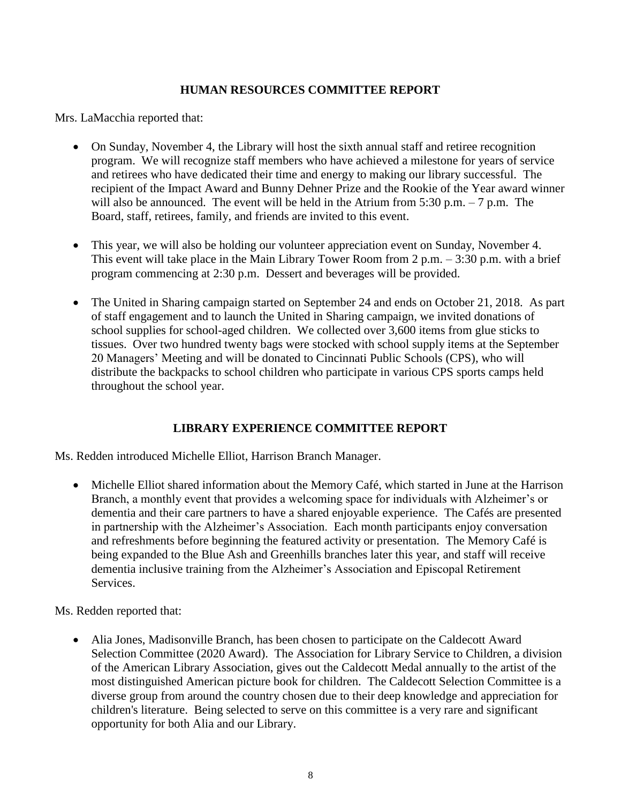## **HUMAN RESOURCES COMMITTEE REPORT**

Mrs. LaMacchia reported that:

- On Sunday, November 4, the Library will host the sixth annual staff and retiree recognition program. We will recognize staff members who have achieved a milestone for years of service and retirees who have dedicated their time and energy to making our library successful. The recipient of the Impact Award and Bunny Dehner Prize and the Rookie of the Year award winner will also be announced. The event will be held in the Atrium from 5:30 p.m.  $-7$  p.m. The Board, staff, retirees, family, and friends are invited to this event.
- This year, we will also be holding our volunteer appreciation event on Sunday, November 4. This event will take place in the Main Library Tower Room from 2 p.m. – 3:30 p.m. with a brief program commencing at 2:30 p.m. Dessert and beverages will be provided.
- The United in Sharing campaign started on September 24 and ends on October 21, 2018. As part of staff engagement and to launch the United in Sharing campaign, we invited donations of school supplies for school-aged children. We collected over 3,600 items from glue sticks to tissues. Over two hundred twenty bags were stocked with school supply items at the September 20 Managers' Meeting and will be donated to Cincinnati Public Schools (CPS), who will distribute the backpacks to school children who participate in various CPS sports camps held throughout the school year.

# **LIBRARY EXPERIENCE COMMITTEE REPORT**

Ms. Redden introduced Michelle Elliot, Harrison Branch Manager.

 Michelle Elliot shared information about the Memory Café, which started in June at the Harrison Branch, a monthly event that provides a welcoming space for individuals with Alzheimer's or dementia and their care partners to have a shared enjoyable experience. The Cafés are presented in partnership with the Alzheimer's Association. Each month participants enjoy conversation and refreshments before beginning the featured activity or presentation. The Memory Café is being expanded to the Blue Ash and Greenhills branches later this year, and staff will receive dementia inclusive training from the Alzheimer's Association and Episcopal Retirement Services.

Ms. Redden reported that:

 Alia Jones, Madisonville Branch, has been chosen to participate on the Caldecott Award Selection Committee (2020 Award). The Association for Library Service to Children, a division of the American Library Association, gives out the Caldecott Medal annually to the artist of the most distinguished American picture book for children. The Caldecott Selection Committee is a diverse group from around the country chosen due to their deep knowledge and appreciation for children's literature. Being selected to serve on this committee is a very rare and significant opportunity for both Alia and our Library.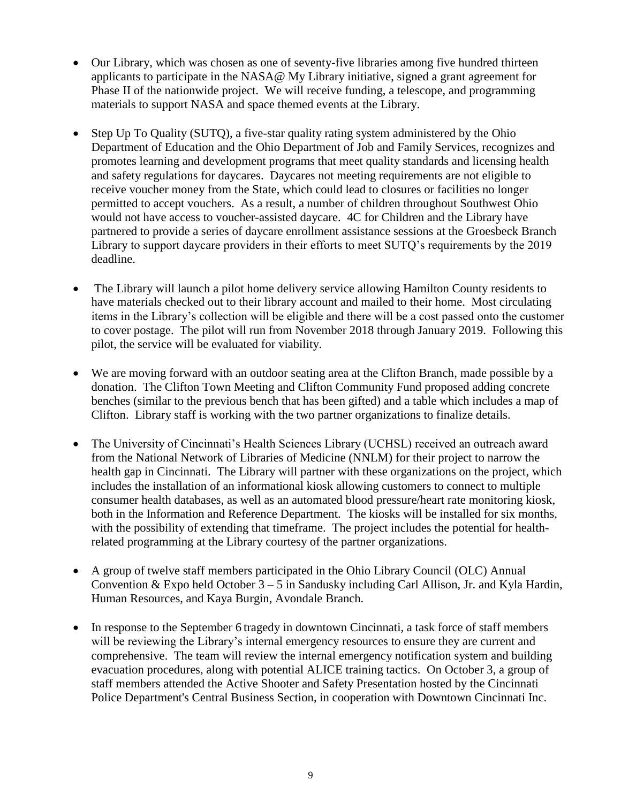- Our Library, which was chosen as one of seventy-five libraries among five hundred thirteen applicants to participate in the NASA@ My Library initiative, signed a grant agreement for Phase II of the nationwide project. We will receive funding, a telescope, and programming materials to support NASA and space themed events at the Library.
- Step Up To Quality (SUTQ), a five-star quality rating system administered by the Ohio Department of Education and the Ohio Department of Job and Family Services, recognizes and promotes learning and development programs that meet quality standards and licensing health and safety regulations for daycares. Daycares not meeting requirements are not eligible to receive voucher money from the State, which could lead to closures or facilities no longer permitted to accept vouchers. As a result, a number of children throughout Southwest Ohio would not have access to voucher-assisted daycare. 4C for Children and the Library have partnered to provide a series of daycare enrollment assistance sessions at the Groesbeck Branch Library to support daycare providers in their efforts to meet SUTQ's requirements by the 2019 deadline.
- The Library will launch a pilot home delivery service allowing Hamilton County residents to have materials checked out to their library account and mailed to their home. Most circulating items in the Library's collection will be eligible and there will be a cost passed onto the customer to cover postage. The pilot will run from November 2018 through January 2019. Following this pilot, the service will be evaluated for viability.
- We are moving forward with an outdoor seating area at the Clifton Branch, made possible by a donation. The Clifton Town Meeting and Clifton Community Fund proposed adding concrete benches (similar to the previous bench that has been gifted) and a table which includes a map of Clifton. Library staff is working with the two partner organizations to finalize details.
- The University of Cincinnati's Health Sciences Library (UCHSL) received an outreach award from the National Network of Libraries of Medicine (NNLM) for their project to narrow the health gap in Cincinnati. The Library will partner with these organizations on the project, which includes the installation of an informational kiosk allowing customers to connect to multiple consumer health databases, as well as an automated blood pressure/heart rate monitoring kiosk, both in the Information and Reference Department. The kiosks will be installed for six months, with the possibility of extending that timeframe. The project includes the potential for healthrelated programming at the Library courtesy of the partner organizations.
- A group of twelve staff members participated in the Ohio Library Council (OLC) Annual Convention  $& \text{Expo held October 3} - 5$  in Sandusky including Carl Allison, Jr. and Kyla Hardin, Human Resources, and Kaya Burgin, Avondale Branch.
- In response to the September 6 tragedy in downtown Cincinnati, a task force of staff members will be reviewing the Library's internal emergency resources to ensure they are current and comprehensive. The team will review the internal emergency notification system and building evacuation procedures, along with potential ALICE training tactics. On October 3, a group of staff members attended the Active Shooter and Safety Presentation hosted by the Cincinnati Police Department's Central Business Section, in cooperation with Downtown Cincinnati Inc.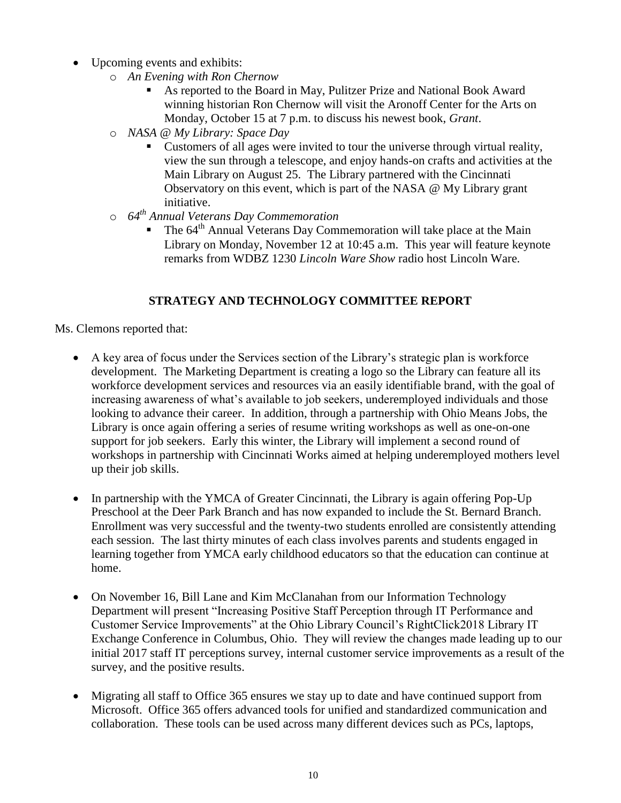- Upcoming events and exhibits:
	- o *An Evening with Ron Chernow* 
		- As reported to the Board in May, Pulitzer Prize and National Book Award winning historian Ron Chernow will visit the Aronoff Center for the Arts on Monday, October 15 at 7 p.m. to discuss his newest book, *Grant*.
	- o *NASA @ My Library: Space Day*
		- Customers of all ages were invited to tour the universe through virtual reality, view the sun through a telescope, and enjoy hands-on crafts and activities at the Main Library on August 25. The Library partnered with the Cincinnati Observatory on this event, which is part of the NASA @ My Library grant initiative.
	- o *64th Annual Veterans Day Commemoration*
		- The 64<sup>th</sup> Annual Veterans Day Commemoration will take place at the Main Library on Monday, November 12 at 10:45 a.m. This year will feature keynote remarks from WDBZ 1230 *Lincoln Ware Show* radio host Lincoln Ware.

# **STRATEGY AND TECHNOLOGY COMMITTEE REPORT**

Ms. Clemons reported that:

- A key area of focus under the Services section of the Library's strategic plan is workforce development. The Marketing Department is creating a logo so the Library can feature all its workforce development services and resources via an easily identifiable brand, with the goal of increasing awareness of what's available to job seekers, underemployed individuals and those looking to advance their career. In addition, through a partnership with Ohio Means Jobs, the Library is once again offering a series of resume writing workshops as well as one-on-one support for job seekers. Early this winter, the Library will implement a second round of workshops in partnership with Cincinnati Works aimed at helping underemployed mothers level up their job skills.
- In partnership with the YMCA of Greater Cincinnati, the Library is again offering Pop-Up Preschool at the Deer Park Branch and has now expanded to include the St. Bernard Branch. Enrollment was very successful and the twenty-two students enrolled are consistently attending each session. The last thirty minutes of each class involves parents and students engaged in learning together from YMCA early childhood educators so that the education can continue at home.
- On November 16, Bill Lane and Kim McClanahan from our Information Technology Department will present "Increasing Positive Staff Perception through IT Performance and Customer Service Improvements" at the Ohio Library Council's RightClick2018 Library IT Exchange Conference in Columbus, Ohio. They will review the changes made leading up to our initial 2017 staff IT perceptions survey, internal customer service improvements as a result of the survey, and the positive results.
- Migrating all staff to Office 365 ensures we stay up to date and have continued support from Microsoft. Office 365 offers advanced tools for unified and standardized communication and collaboration. These tools can be used across many different devices such as PCs, laptops,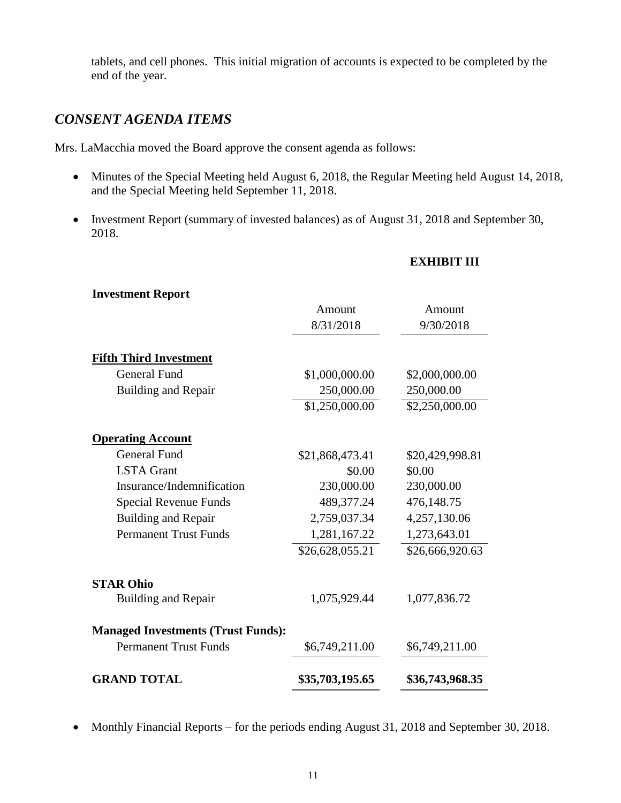tablets, and cell phones. This initial migration of accounts is expected to be completed by the end of the year.

# *CONSENT AGENDA ITEMS*

Mrs. LaMacchia moved the Board approve the consent agenda as follows:

- Minutes of the Special Meeting held August 6, 2018, the Regular Meeting held August 14, 2018, and the Special Meeting held September 11, 2018.
- Investment Report (summary of invested balances) as of August 31, 2018 and September 30, 2018.

# **EXHIBIT III**

| <b>Investment Report</b>                  |                 |                 |
|-------------------------------------------|-----------------|-----------------|
|                                           | Amount          | Amount          |
|                                           | 8/31/2018       | 9/30/2018       |
| <b>Fifth Third Investment</b>             |                 |                 |
| <b>General Fund</b>                       | \$1,000,000.00  | \$2,000,000.00  |
| <b>Building and Repair</b>                | 250,000.00      | 250,000.00      |
|                                           | \$1,250,000.00  | \$2,250,000.00  |
| <b>Operating Account</b>                  |                 |                 |
| <b>General Fund</b>                       | \$21,868,473.41 | \$20,429,998.81 |
| <b>LSTA</b> Grant                         | \$0.00          | \$0.00          |
| Insurance/Indemnification                 | 230,000.00      | 230,000.00      |
| Special Revenue Funds                     | 489,377.24      | 476,148.75      |
| <b>Building and Repair</b>                | 2,759,037.34    | 4,257,130.06    |
| <b>Permanent Trust Funds</b>              | 1,281,167.22    | 1,273,643.01    |
|                                           | \$26,628,055.21 | \$26,666,920.63 |
| <b>STAR Ohio</b>                          |                 |                 |
| <b>Building and Repair</b>                | 1,075,929.44    | 1,077,836.72    |
| <b>Managed Investments (Trust Funds):</b> |                 |                 |
| <b>Permanent Trust Funds</b>              | \$6,749,211.00  | \$6,749,211.00  |
| <b>GRAND TOTAL</b>                        | \$35,703,195.65 | \$36,743,968.35 |

• Monthly Financial Reports – for the periods ending August 31, 2018 and September 30, 2018.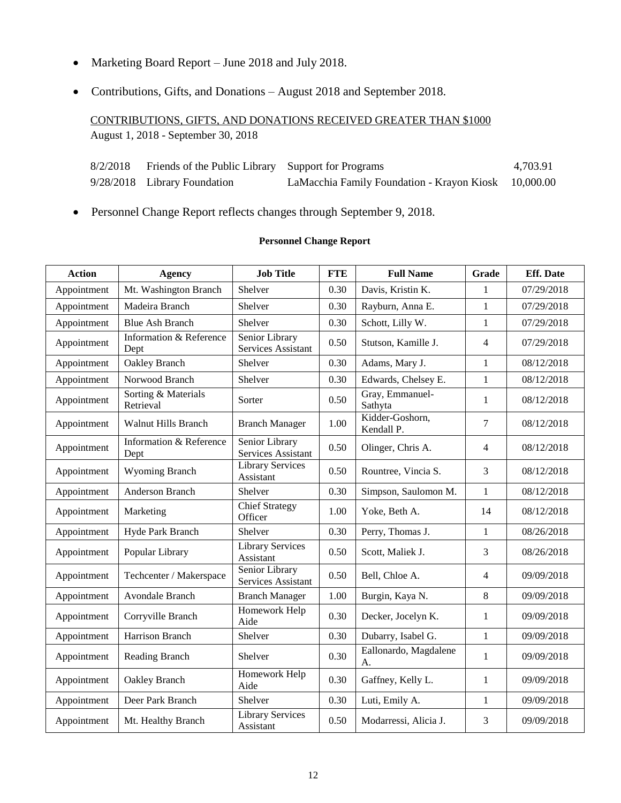- Marketing Board Report June 2018 and July 2018.
- Contributions, Gifts, and Donations August 2018 and September 2018.

CONTRIBUTIONS, GIFTS, AND DONATIONS RECEIVED GREATER THAN \$1000 August 1, 2018 - September 30, 2018

| 8/2/2018 | Friends of the Public Library Support for Programs |                                                      | 4.703.91 |
|----------|----------------------------------------------------|------------------------------------------------------|----------|
|          | 9/28/2018 Library Foundation                       | LaMacchia Family Foundation - Krayon Kiosk 10,000.00 |          |

Personnel Change Report reflects changes through September 9, 2018.

#### **Personnel Change Report**

| <b>Action</b> | <b>Agency</b>                    | <b>Job Title</b>                     | <b>FTE</b> | <b>Full Name</b>              | Grade          | <b>Eff.</b> Date |
|---------------|----------------------------------|--------------------------------------|------------|-------------------------------|----------------|------------------|
| Appointment   | Mt. Washington Branch            | Shelver                              | 0.30       | Davis, Kristin K.             | 1              | 07/29/2018       |
| Appointment   | Madeira Branch                   | Shelver                              | 0.30       | Rayburn, Anna E.              | $\mathbf{1}$   | 07/29/2018       |
| Appointment   | <b>Blue Ash Branch</b>           | Shelver                              | 0.30       | Schott, Lilly W.              | $\mathbf{1}$   | 07/29/2018       |
| Appointment   | Information & Reference<br>Dept  | Senior Library<br>Services Assistant | 0.50       | Stutson, Kamille J.           | $\overline{4}$ | 07/29/2018       |
| Appointment   | Oakley Branch                    | Shelver                              | 0.30       | Adams, Mary J.                | $\mathbf{1}$   | 08/12/2018       |
| Appointment   | Norwood Branch                   | Shelver                              | 0.30       | Edwards, Chelsey E.           | $\mathbf{1}$   | 08/12/2018       |
| Appointment   | Sorting & Materials<br>Retrieval | Sorter                               | 0.50       | Gray, Emmanuel-<br>Sathyta    | $\mathbf{1}$   | 08/12/2018       |
| Appointment   | <b>Walnut Hills Branch</b>       | <b>Branch Manager</b>                | 1.00       | Kidder-Goshorn,<br>Kendall P. | 7              | 08/12/2018       |
| Appointment   | Information & Reference<br>Dept  | Senior Library<br>Services Assistant | 0.50       | Olinger, Chris A.             | $\overline{4}$ | 08/12/2018       |
| Appointment   | <b>Wyoming Branch</b>            | <b>Library Services</b><br>Assistant | 0.50       | Rountree, Vincia S.           | 3              | 08/12/2018       |
| Appointment   | Anderson Branch                  | Shelver                              | 0.30       | Simpson, Saulomon M.          | $\mathbf{1}$   | 08/12/2018       |
| Appointment   | Marketing                        | Chief Strategy<br>Officer            | 1.00       | Yoke, Beth A.                 | 14             | 08/12/2018       |
| Appointment   | Hyde Park Branch                 | Shelver                              | 0.30       | Perry, Thomas J.              | $\mathbf{1}$   | 08/26/2018       |
| Appointment   | Popular Library                  | <b>Library Services</b><br>Assistant | 0.50       | Scott, Maliek J.              | 3              | 08/26/2018       |
| Appointment   | Techcenter / Makerspace          | Senior Library<br>Services Assistant | 0.50       | Bell, Chloe A.                | $\overline{4}$ | 09/09/2018       |
| Appointment   | Avondale Branch                  | <b>Branch Manager</b>                | 1.00       | Burgin, Kaya N.               | 8              | 09/09/2018       |
| Appointment   | Corryville Branch                | Homework Help<br>Aide                | 0.30       | Decker, Jocelyn K.            | $\mathbf{1}$   | 09/09/2018       |
| Appointment   | Harrison Branch                  | Shelver                              | 0.30       | Dubarry, Isabel G.            | $\mathbf{1}$   | 09/09/2018       |
| Appointment   | Reading Branch                   | Shelver                              | 0.30       | Eallonardo, Magdalene<br>A.   | $\mathbf{1}$   | 09/09/2018       |
| Appointment   | Oakley Branch                    | Homework Help<br>Aide                | 0.30       | Gaffney, Kelly L.             | $\mathbf{1}$   | 09/09/2018       |
| Appointment   | Deer Park Branch                 | Shelver                              | 0.30       | Luti, Emily A.                | $\mathbf{1}$   | 09/09/2018       |
| Appointment   | Mt. Healthy Branch               | <b>Library Services</b><br>Assistant | 0.50       | Modarressi, Alicia J.         | $\mathfrak{Z}$ | 09/09/2018       |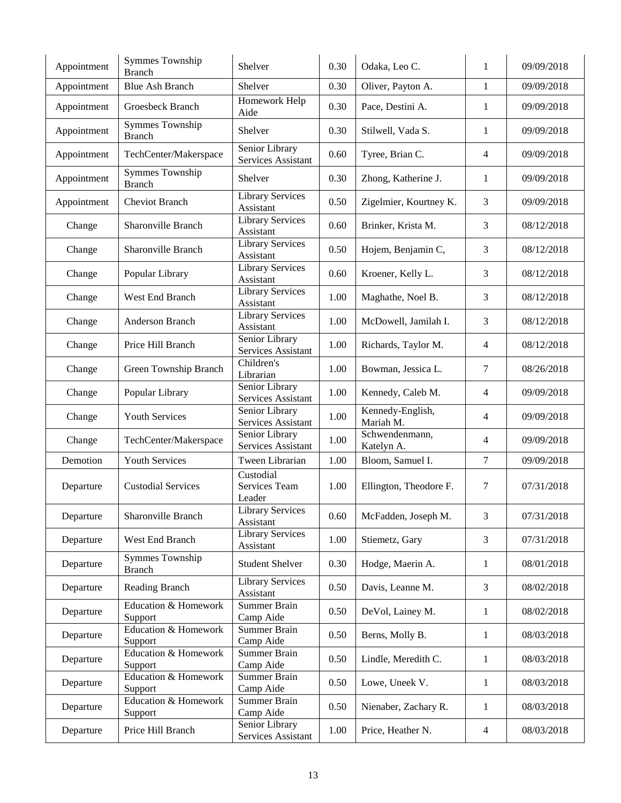| Appointment | Symmes Township<br><b>Branch</b>           | Shelver                              | 0.30 | Odaka, Leo C.                 | 1              | 09/09/2018 |
|-------------|--------------------------------------------|--------------------------------------|------|-------------------------------|----------------|------------|
| Appointment | <b>Blue Ash Branch</b>                     | Shelver                              | 0.30 | Oliver, Payton A.             | 1              | 09/09/2018 |
| Appointment | Groesbeck Branch                           | Homework Help<br>Aide                | 0.30 | Pace, Destini A.              | 1              | 09/09/2018 |
| Appointment | Symmes Township<br><b>Branch</b>           | Shelver                              | 0.30 | Stilwell, Vada S.             | $\mathbf{1}$   | 09/09/2018 |
| Appointment | TechCenter/Makerspace                      | Senior Library<br>Services Assistant | 0.60 | Tyree, Brian C.               | $\overline{4}$ | 09/09/2018 |
| Appointment | Symmes Township<br><b>Branch</b>           | Shelver                              | 0.30 | Zhong, Katherine J.           | 1              | 09/09/2018 |
| Appointment | <b>Cheviot Branch</b>                      | <b>Library Services</b><br>Assistant | 0.50 | Zigelmier, Kourtney K.        | 3              | 09/09/2018 |
| Change      | Sharonville Branch                         | <b>Library Services</b><br>Assistant | 0.60 | Brinker, Krista M.            | 3              | 08/12/2018 |
| Change      | Sharonville Branch                         | <b>Library Services</b><br>Assistant | 0.50 | Hojem, Benjamin C,            | 3              | 08/12/2018 |
| Change      | Popular Library                            | <b>Library Services</b><br>Assistant | 0.60 | Kroener, Kelly L.             | 3              | 08/12/2018 |
| Change      | West End Branch                            | <b>Library Services</b><br>Assistant | 1.00 | Maghathe, Noel B.             | 3              | 08/12/2018 |
| Change      | Anderson Branch                            | <b>Library Services</b><br>Assistant | 1.00 | McDowell, Jamilah I.          | 3              | 08/12/2018 |
| Change      | Price Hill Branch                          | Senior Library<br>Services Assistant | 1.00 | Richards, Taylor M.           | $\overline{4}$ | 08/12/2018 |
| Change      | Green Township Branch                      | Children's<br>Librarian              | 1.00 | Bowman, Jessica L.            | 7              | 08/26/2018 |
| Change      | Popular Library                            | Senior Library<br>Services Assistant | 1.00 | Kennedy, Caleb M.             | $\overline{4}$ | 09/09/2018 |
| Change      | Youth Services                             | Senior Library<br>Services Assistant | 1.00 | Kennedy-English,<br>Mariah M. | $\overline{4}$ | 09/09/2018 |
| Change      | TechCenter/Makerspace                      | Senior Library<br>Services Assistant | 1.00 | Schwendenmann,<br>Katelyn A.  | $\overline{4}$ | 09/09/2018 |
| Demotion    | Youth Services                             | Tween Librarian                      | 1.00 | Bloom, Samuel I.              | $\overline{7}$ | 09/09/2018 |
| Departure   | <b>Custodial Services</b>                  | Custodial<br>Services Team<br>Leader | 1.00 | Ellington, Theodore F.        | 7              | 07/31/2018 |
| Departure   | Sharonville Branch                         | <b>Library Services</b><br>Assistant | 0.60 | McFadden, Joseph M.           | 3              | 07/31/2018 |
| Departure   | West End Branch                            | <b>Library Services</b><br>Assistant | 1.00 | Stiemetz, Gary                | 3              | 07/31/2018 |
| Departure   | Symmes Township<br><b>Branch</b>           | <b>Student Shelver</b>               | 0.30 | Hodge, Maerin A.              | $\mathbf{1}$   | 08/01/2018 |
| Departure   | Reading Branch                             | <b>Library Services</b><br>Assistant | 0.50 | Davis, Leanne M.              | 3              | 08/02/2018 |
| Departure   | <b>Education &amp; Homework</b><br>Support | Summer Brain<br>Camp Aide            | 0.50 | DeVol, Lainey M.              | $\mathbf{1}$   | 08/02/2018 |
| Departure   | <b>Education &amp; Homework</b><br>Support | Summer Brain<br>Camp Aide            | 0.50 | Berns, Molly B.               | $\mathbf{1}$   | 08/03/2018 |
| Departure   | Education & Homework<br>Support            | Summer Brain<br>Camp Aide            | 0.50 | Lindle, Meredith C.           | $\mathbf{1}$   | 08/03/2018 |
| Departure   | <b>Education &amp; Homework</b><br>Support | Summer Brain<br>Camp Aide            | 0.50 | Lowe, Uneek V.                | $\mathbf{1}$   | 08/03/2018 |
| Departure   | Education & Homework<br>Support            | Summer Brain<br>Camp Aide            | 0.50 | Nienaber, Zachary R.          | $\mathbf{1}$   | 08/03/2018 |
| Departure   | Price Hill Branch                          | Senior Library<br>Services Assistant | 1.00 | Price, Heather N.             | 4              | 08/03/2018 |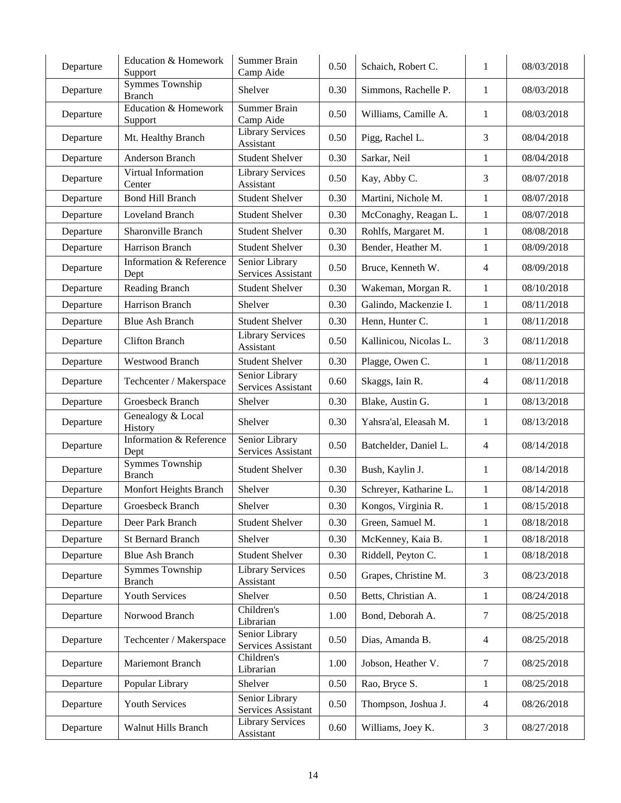| Departure | <b>Education &amp; Homework</b><br>Support | Summer Brain<br>Camp Aide            | 0.50 | Schaich, Robert C.     | $\mathbf{1}$   | 08/03/2018 |
|-----------|--------------------------------------------|--------------------------------------|------|------------------------|----------------|------------|
| Departure | <b>Symmes Township</b><br><b>Branch</b>    | Shelver                              | 0.30 | Simmons, Rachelle P.   | 1              | 08/03/2018 |
| Departure | Education & Homework<br>Support            | Summer Brain<br>Camp Aide            | 0.50 | Williams, Camille A.   | 1              | 08/03/2018 |
| Departure | Mt. Healthy Branch                         | <b>Library Services</b><br>Assistant | 0.50 | Pigg, Rachel L.        | 3              | 08/04/2018 |
| Departure | Anderson Branch                            | <b>Student Shelver</b>               | 0.30 | Sarkar, Neil           | 1              | 08/04/2018 |
| Departure | Virtual Information<br>Center              | <b>Library Services</b><br>Assistant | 0.50 | Kay, Abby C.           | 3              | 08/07/2018 |
| Departure | <b>Bond Hill Branch</b>                    | <b>Student Shelver</b>               | 0.30 | Martini, Nichole M.    | $\mathbf{1}$   | 08/07/2018 |
| Departure | Loveland Branch                            | <b>Student Shelver</b>               | 0.30 | McConaghy, Reagan L.   | 1              | 08/07/2018 |
| Departure | Sharonville Branch                         | <b>Student Shelver</b>               | 0.30 | Rohlfs, Margaret M.    | 1              | 08/08/2018 |
| Departure | Harrison Branch                            | <b>Student Shelver</b>               | 0.30 | Bender, Heather M.     | 1              | 08/09/2018 |
| Departure | Information & Reference<br>Dept            | Senior Library<br>Services Assistant | 0.50 | Bruce, Kenneth W.      | $\overline{4}$ | 08/09/2018 |
| Departure | Reading Branch                             | <b>Student Shelver</b>               | 0.30 | Wakeman, Morgan R.     | $\mathbf{1}$   | 08/10/2018 |
| Departure | Harrison Branch                            | Shelver                              | 0.30 | Galindo, Mackenzie I.  | 1              | 08/11/2018 |
| Departure | <b>Blue Ash Branch</b>                     | <b>Student Shelver</b>               | 0.30 | Henn, Hunter C.        | 1              | 08/11/2018 |
| Departure | <b>Clifton Branch</b>                      | <b>Library Services</b><br>Assistant | 0.50 | Kallinicou, Nicolas L. | 3              | 08/11/2018 |
| Departure | Westwood Branch                            | <b>Student Shelver</b>               | 0.30 | Plagge, Owen C.        | 1              | 08/11/2018 |
| Departure | Techcenter / Makerspace                    | Senior Library<br>Services Assistant | 0.60 | Skaggs, Iain R.        | $\overline{4}$ | 08/11/2018 |
| Departure | Groesbeck Branch                           | Shelver                              | 0.30 | Blake, Austin G.       | 1              | 08/13/2018 |
| Departure | Genealogy & Local<br>History               | Shelver                              | 0.30 | Yahsra'al, Eleasah M.  | 1              | 08/13/2018 |
| Departure | Information & Reference<br>Dept            | Senior Library<br>Services Assistant | 0.50 | Batchelder, Daniel L.  | $\overline{4}$ | 08/14/2018 |
| Departure | <b>Symmes Township</b><br><b>Branch</b>    | <b>Student Shelver</b>               | 0.30 | Bush, Kaylin J.        | 1              | 08/14/2018 |
| Departure | Monfort Heights Branch                     | Shelver                              | 0.30 | Schreyer, Katharine L. | $\mathbf{1}$   | 08/14/2018 |
| Departure | Groesbeck Branch                           | Shelver                              | 0.30 | Kongos, Virginia R.    | 1              | 08/15/2018 |
| Departure | Deer Park Branch                           | <b>Student Shelver</b>               | 0.30 | Green, Samuel M.       | 1              | 08/18/2018 |
| Departure | St Bernard Branch                          | Shelver                              | 0.30 | McKenney, Kaia B.      | $\mathbf 1$    | 08/18/2018 |
| Departure | <b>Blue Ash Branch</b>                     | <b>Student Shelver</b>               | 0.30 | Riddell, Peyton C.     | 1              | 08/18/2018 |
| Departure | <b>Symmes Township</b><br><b>Branch</b>    | <b>Library Services</b><br>Assistant | 0.50 | Grapes, Christine M.   | 3              | 08/23/2018 |
| Departure | Youth Services                             | Shelver                              | 0.50 | Betts, Christian A.    | 1              | 08/24/2018 |
| Departure | Norwood Branch                             | Children's<br>Librarian              | 1.00 | Bond, Deborah A.       | 7              | 08/25/2018 |
| Departure | Techcenter / Makerspace                    | Senior Library<br>Services Assistant | 0.50 | Dias, Amanda B.        | $\overline{4}$ | 08/25/2018 |
| Departure | Mariemont Branch                           | Children's<br>Librarian              | 1.00 | Jobson, Heather V.     | 7              | 08/25/2018 |
| Departure | Popular Library                            | Shelver                              | 0.50 | Rao, Bryce S.          | $\mathbf{1}$   | 08/25/2018 |
| Departure | Youth Services                             | Senior Library<br>Services Assistant | 0.50 | Thompson, Joshua J.    | $\overline{4}$ | 08/26/2018 |
| Departure | Walnut Hills Branch                        | <b>Library Services</b><br>Assistant | 0.60 | Williams, Joey K.      | $\mathfrak{Z}$ | 08/27/2018 |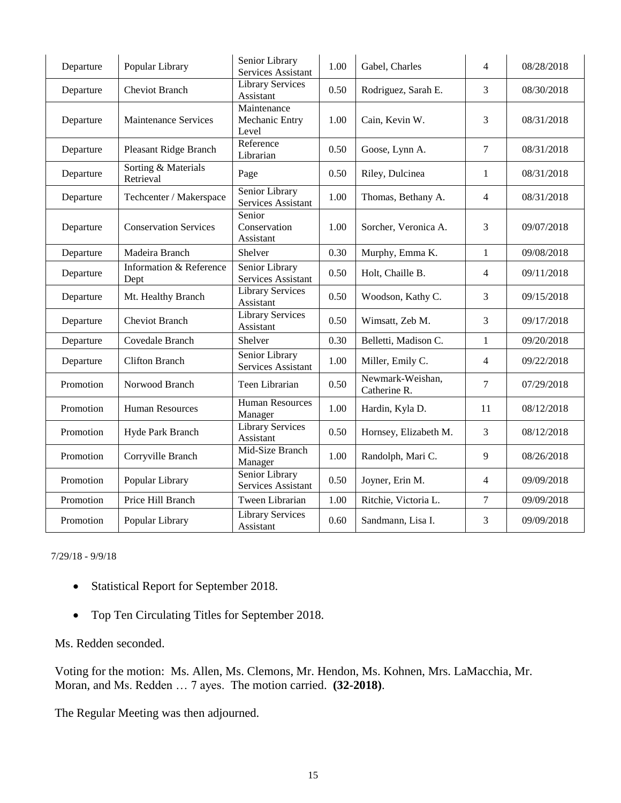| Departure | Popular Library                  | Senior Library<br>Services Assistant   | 1.00 | Gabel, Charles                   | 4              | 08/28/2018 |
|-----------|----------------------------------|----------------------------------------|------|----------------------------------|----------------|------------|
| Departure | <b>Cheviot Branch</b>            | <b>Library Services</b><br>Assistant   | 0.50 | Rodriguez, Sarah E.              | 3              | 08/30/2018 |
| Departure | <b>Maintenance Services</b>      | Maintenance<br>Mechanic Entry<br>Level | 1.00 | Cain, Kevin W.                   | 3              | 08/31/2018 |
| Departure | Pleasant Ridge Branch            | Reference<br>Librarian                 | 0.50 | Goose, Lynn A.                   | $\overline{7}$ | 08/31/2018 |
| Departure | Sorting & Materials<br>Retrieval | Page                                   | 0.50 | Riley, Dulcinea                  | 1              | 08/31/2018 |
| Departure | Techcenter / Makerspace          | Senior Library<br>Services Assistant   | 1.00 | Thomas, Bethany A.               | $\overline{4}$ | 08/31/2018 |
| Departure | <b>Conservation Services</b>     | Senior<br>Conservation<br>Assistant    | 1.00 | Sorcher, Veronica A.             | 3              | 09/07/2018 |
| Departure | Madeira Branch                   | Shelver                                | 0.30 | Murphy, Emma K.                  | $\mathbf{1}$   | 09/08/2018 |
| Departure | Information & Reference<br>Dept  | Senior Library<br>Services Assistant   | 0.50 | Holt, Chaille B.                 | 4              | 09/11/2018 |
| Departure | Mt. Healthy Branch               | <b>Library Services</b><br>Assistant   | 0.50 | Woodson, Kathy C.                | 3              | 09/15/2018 |
| Departure | <b>Cheviot Branch</b>            | <b>Library Services</b><br>Assistant   | 0.50 | Wimsatt, Zeb M.                  | 3              | 09/17/2018 |
| Departure | Covedale Branch                  | Shelver                                | 0.30 | Belletti, Madison C.             | $\mathbf{1}$   | 09/20/2018 |
| Departure | <b>Clifton Branch</b>            | Senior Library<br>Services Assistant   | 1.00 | Miller, Emily C.                 | 4              | 09/22/2018 |
| Promotion | Norwood Branch                   | Teen Librarian                         | 0.50 | Newmark-Weishan,<br>Catherine R. | $\tau$         | 07/29/2018 |
| Promotion | <b>Human Resources</b>           | <b>Human Resources</b><br>Manager      | 1.00 | Hardin, Kyla D.                  | 11             | 08/12/2018 |
| Promotion | Hyde Park Branch                 | <b>Library Services</b><br>Assistant   | 0.50 | Hornsey, Elizabeth M.            | 3              | 08/12/2018 |
| Promotion | Corryville Branch                | Mid-Size Branch<br>Manager             | 1.00 | Randolph, Mari C.                | 9              | 08/26/2018 |
| Promotion | Popular Library                  | Senior Library<br>Services Assistant   | 0.50 | Joyner, Erin M.                  | 4              | 09/09/2018 |
| Promotion | Price Hill Branch                | Tween Librarian                        | 1.00 | Ritchie, Victoria L.             | $\tau$         | 09/09/2018 |
| Promotion | Popular Library                  | <b>Library Services</b><br>Assistant   | 0.60 | Sandmann, Lisa I.                | 3              | 09/09/2018 |

7/29/18 - 9/9/18

- Statistical Report for September 2018.
- Top Ten Circulating Titles for September 2018.

Ms. Redden seconded.

Voting for the motion: Ms. Allen, Ms. Clemons, Mr. Hendon, Ms. Kohnen, Mrs. LaMacchia, Mr. Moran, and Ms. Redden … 7 ayes. The motion carried. **(32-2018)**.

The Regular Meeting was then adjourned.